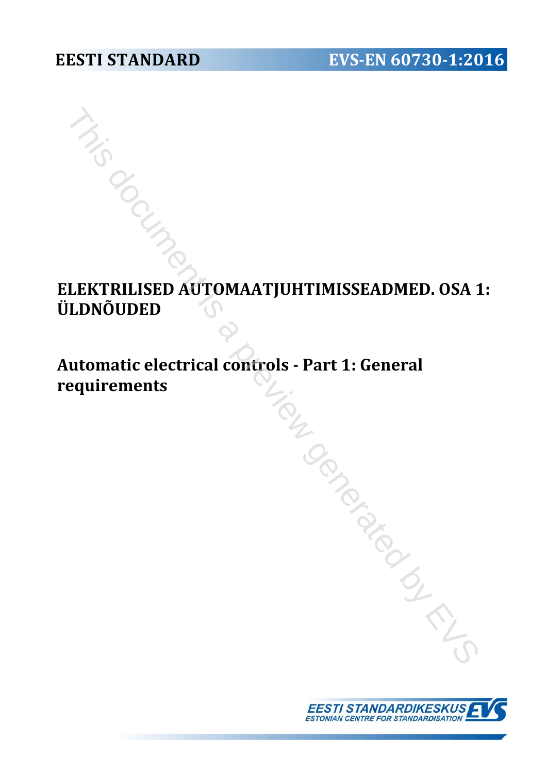# **ELEKTRILISED AUTOMAATJUHTIMISSEADMED. OSA 1: ÜLDNÕUDED** THIS DESCRIPTION AND MATTER OF A PROPERTY OF A PROPERTY OF A PROPERTY OF A PROPERTY OF A PROPERTY OF A PROPERTY OF A PROPERTY OF A PROPERTY OF A PROPERTY OF A PROPERTY OF A PROPERTY OF A PROPERTY OF A PROPERTY OF A PROPERT

# **Automatic electrical controls - Part 1: General requirements**

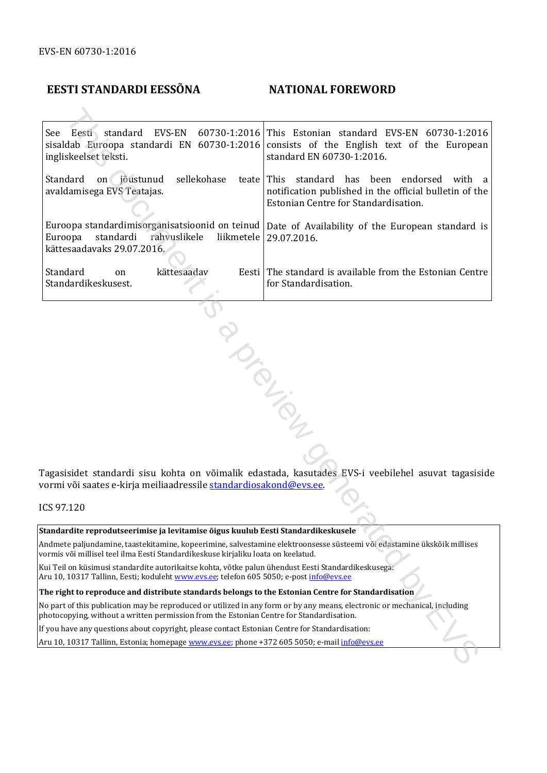# **EESTI STANDARDI EESSÕNA NATIONAL FOREWORD**

See Eesti standard EVS-EN 60730-1:2016 sisaldab Euroopa standardi EN 60730-1:2016 ingliskeelset teksti. This Estonian standard EVS-EN 60730-1:2016 consists of the English text of the European standard EN 60730-1:2016. Standard on jõustunud sellekohase teate avaldamisega EVS Teatajas. Euroopa standardimisorganisatsioonid on teinud Euroopa standardi rahvuslikele liikmetele kättesaadavaks 29.07.2016. This standard has been endorsed with a notification published in the official bulletin of the Estonian Centre for Standardisation. Date of Availability of the European standard is 29.07.2016. Standard on kättesaadav Standardikeskusest. Eesti The standard is available from the Estonian Centre for Standardisation. Eesti, stondard EVS-EN 60730-1:2016 This Estonian standard EVS-EN 60730-1:2016<br>
dab Euroopa standardi iN 60730-1:2016 consists of the Finglish text of the Ruropea<br>
skeedic (election) standard EN 60730-1:2016 consists of t

Tagasisidet standardi sisu kohta on võimalik edastada, kasutades EVS-i veebilehel asuvat tagasiside vormi või saates e-kirja meiliaadressile standardiosakond@evs.ee.

ICS 97.120

#### **Standardite reprodutseerimise ja levitamise õigus kuulub Eesti Standardikeskusele**

Andmete paljundamine, taastekitamine, kopeerimine, salvestamine elektroonsesse süsteemi või edastamine ükskõik millises vormis või millisel teel ilma Eesti Standardikeskuse kirjaliku loata on keelatud.

Kui Teil on küsimusi standardite autorikaitse kohta, võtke palun ühendust Eesti Standardikeskusega: Aru 10, 10317 Tallinn, Eesti; koduleht www.evs.ee; telefon 605 5050; e-post *info@evs.ee* 

#### **The right to reproduce and distribute standards belongs to the Estonian Centre for Standardisation**

No part of this publication may be reproduced or utilized in any form or by any means, electronic or mechanical, including photocopying, without a written permission from the Estonian Centre for Standardisation.

If you have any questions about copyright, please contact Estonian Centre for Standardisation:

Aru 10, 10317 Tallinn, Estonia; homepage www.evs.ee; phone +372 605 5050; e-mail info@evs.ee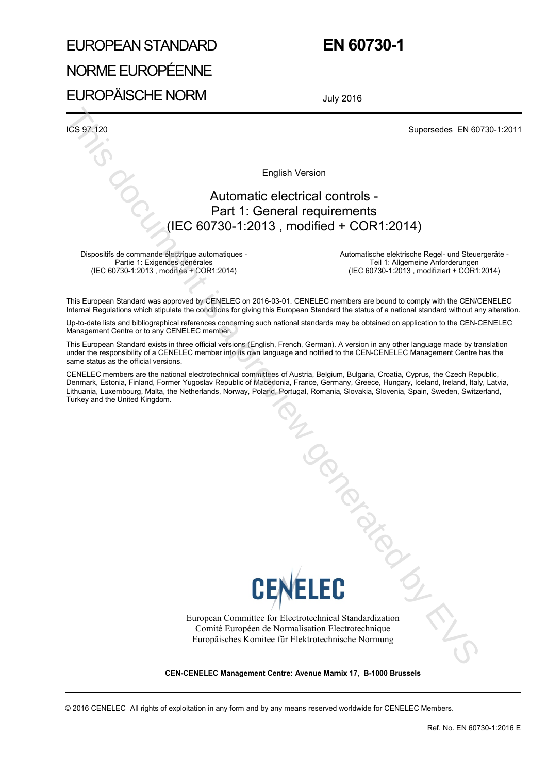# EUROPEAN STANDARD NORME EUROPÉENNE EUROPÄISCHE NORM

# **EN 60730-1**

July 2016

ICS 97.120 Supersedes EN 60730-1:2011

English Version

# Automatic electrical controls - Part 1: General requirements (IEC 60730-1:2013 , modified + COR1:2014)

Dispositifs de commande électrique automatiques - Partie 1: Exigences générales (IEC 60730-1:2013 , modifiée + COR1:2014)

Automatische elektrische Regel- und Steuergeräte - Teil 1: Allgemeine Anforderungen (IEC 60730-1:2013 , modifiziert + COR1:2014)

This European Standard was approved by CENELEC on 2016-03-01. CENELEC members are bound to comply with the CEN/CENELEC Internal Regulations which stipulate the conditions for giving this European Standard the status of a national standard without any alteration.

Up-to-date lists and bibliographical references concerning such national standards may be obtained on application to the CEN-CENELEC Management Centre or to any CENELEC member.

This European Standard exists in three official versions (English, French, German). A version in any other language made by translation under the responsibility of a CENELEC member into its own language and notified to the CEN-CENELEC Management Centre has the same status as the official versions.

CENELEC members are the national electrotechnical committees of Austria, Belgium, Bulgaria, Croatia, Cyprus, the Czech Republic, Denmark, Estonia, Finland, Former Yugoslav Republic of Macedonia, France, Germany, Greece, Hungary, Iceland, Ireland, Italy, Latvia, Lithuania, Luxembourg, Malta, the Netherlands, Norway, Poland, Portugal, Romania, Slovakia, Slovenia, Spain, Sweden, Switzerland, Turkey and the United Kingdom.



European Committee for Electrotechnical Standardization Comité Européen de Normalisation Electrotechnique Europäisches Komitee für Elektrotechnische Normung To document is

**CEN-CENELEC Management Centre: Avenue Marnix 17, B-1000 Brussels**

© 2016 CENELEC All rights of exploitation in any form and by any means reserved worldwide for CENELEC Members.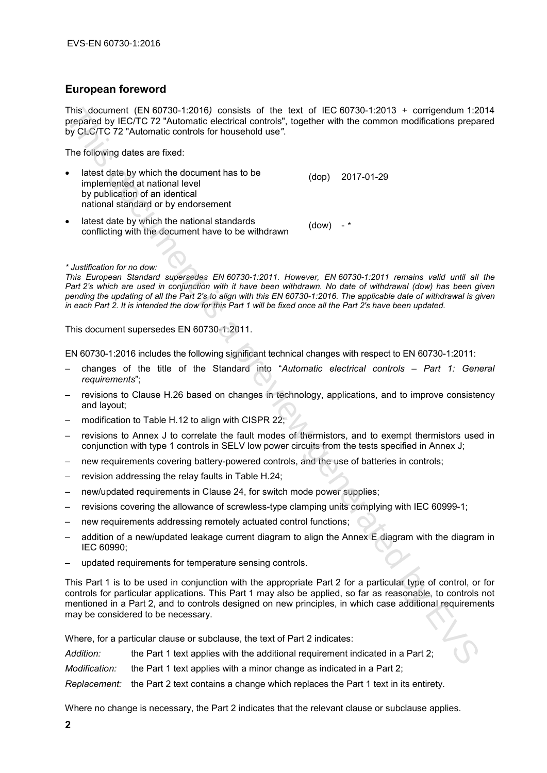# **European foreword**

This document (EN 60730-1:2016*)* consists of the text of IEC 60730-1:2013 + corrigendum 1:2014 prepared by IEC/TC 72 "Automatic electrical controls", together with the common modifications prepared by CLC/TC 72 "Automatic controls for household use*"*.

The following dates are fixed:

- latest date by which the document has to be implemented at national level by publication of an identical national standard or by endorsement (dop) 2017-01-29
- latest date by which the national standards conflicting with the document have to be withdrawn (dow) - *\**

#### *\* Justification for no dow:*

*This European Standard supersedes EN 60730-1:2011. However, EN 60730-1:2011 remains valid until all the Part 2's which are used in conjunction with it have been withdrawn. No date of withdrawal (dow) has been given pending the updating of all the Part 2's to align with this EN 60730-1:2016. The applicable date of withdrawal is given in each Part 2. It is intended the dow for this Part 1 will be fixed once all the Part 2's have been updated.*

This document supersedes EN 60730-1:2011.

EN 60730-1:2016 includes the following significant technical changes with respect to EN 60730-1:2011:

- changes of the title of the Standard into "*Automatic electrical controls Part 1: General requirements*";
- revisions to Clause H.26 based on changes in technology, applications, and to improve consistency and layout;
- modification to Table H.12 to align with CISPR 22;
- revisions to Annex J to correlate the fault modes of thermistors, and to exempt thermistors used in conjunction with type 1 controls in SELV low power circuits from the tests specified in Annex J;
- new requirements covering battery-powered controls, and the use of batteries in controls;
- revision addressing the relay faults in Table H.24;
- new/updated requirements in Clause 24, for switch mode power supplies;
- revisions covering the allowance of screwless-type clamping units complying with IEC 60999-1;
- new requirements addressing remotely actuated control functions;
- addition of a new/updated leakage current diagram to align the Annex E diagram with the diagram in IEC 60990;
- updated requirements for temperature sensing controls.

This Part 1 is to be used in conjunction with the appropriate Part 2 for a particular type of control, or for controls for particular applications. This Part 1 may also be applied, so far as reasonable, to controls not mentioned in a Part 2, and to controls designed on new principles, in which case additional requirements may be considered to be necessary. This document (EN 08730-1-2016) consists of the tast of Fig. 06730-1-2013<br>
This document is a preview generated by CICIT C2<sup>2</sup> Antiomatic electrical controls", together with the common modifications prepiper<br>
The followin

Where, for a particular clause or subclause, the text of Part 2 indicates:

| Addition:     | the Part 1 text applies with the additional requirement indicated in a Part 2;                 |
|---------------|------------------------------------------------------------------------------------------------|
| Modification: | the Part 1 text applies with a minor change as indicated in a Part 2;                          |
|               | Replacement: the Part 2 text contains a change which replaces the Part 1 text in its entirety. |

Where no change is necessary, the Part 2 indicates that the relevant clause or subclause applies.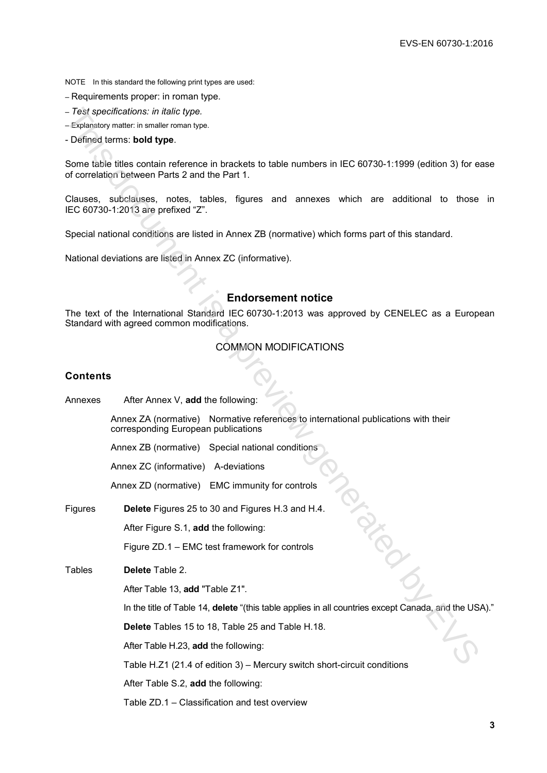NOTE In this standard the following print types are used:

- Requirements proper: in roman type.
- *Test specifications: in italic type.*
- Explanatory matter: in smaller roman type.
- Defined terms: **bold type**.

# **Endorsement notice**

### COMMON MODIFICATIONS

#### **Contents**

| - Test specifications: in italic type.                                                                                                                      |
|-------------------------------------------------------------------------------------------------------------------------------------------------------------|
| - Explanatory matter: in smaller roman type.                                                                                                                |
| - Defined terms: bold type.                                                                                                                                 |
| Some table titles contain reference in brackets to table numbers in IEC 60730-1:1999 (edition 3) for ease<br>of correlation between Parts 2 and the Part 1. |
| Clauses, subclauses, notes, tables, figures and annexes which are additional to those in<br>IEC 60730-1:2013 are prefixed "Z".                              |
| Special national conditions are listed in Annex ZB (normative) which forms part of this standard.                                                           |
| National deviations are listed in Annex ZC (informative).                                                                                                   |
|                                                                                                                                                             |
|                                                                                                                                                             |
| <b>Endorsement notice</b>                                                                                                                                   |
| The text of the International Standard IEC 60730-1:2013 was approved by CENELEC as a European<br>Standard with agreed common modifications.                 |
| <b>COMMON MODIFICATIONS</b>                                                                                                                                 |
|                                                                                                                                                             |
| <b>Contents</b>                                                                                                                                             |
| After Annex V, add the following:<br>Annexes                                                                                                                |
| Annex ZA (normative) Normative references to international publications with their<br>corresponding European publications                                   |
| Annex ZB (normative) Special national conditions                                                                                                            |
| Annex ZC (informative) A-deviations                                                                                                                         |
| Annex ZD (normative) EMC immunity for controls                                                                                                              |
| Delete Figures 25 to 30 and Figures H.3 and H.4.<br>Figures                                                                                                 |
| After Figure S.1, add the following:                                                                                                                        |
| Figure ZD.1 - EMC test framework for controls                                                                                                               |
| <b>Tables</b><br>Delete Table 2.                                                                                                                            |
| After Table 13, add "Table Z1".                                                                                                                             |
| In the title of Table 14, delete "(this table applies in all countries except Canada, and the USA)."                                                        |
| Delete Tables 15 to 18, Table 25 and Table H.18.                                                                                                            |
| After Table H.23, add the following:                                                                                                                        |
| Table H.Z1 (21.4 of edition 3) - Mercury switch short-circuit conditions                                                                                    |
| After Table S.2, add the following:                                                                                                                         |
| Table ZD.1 - Classification and test overview                                                                                                               |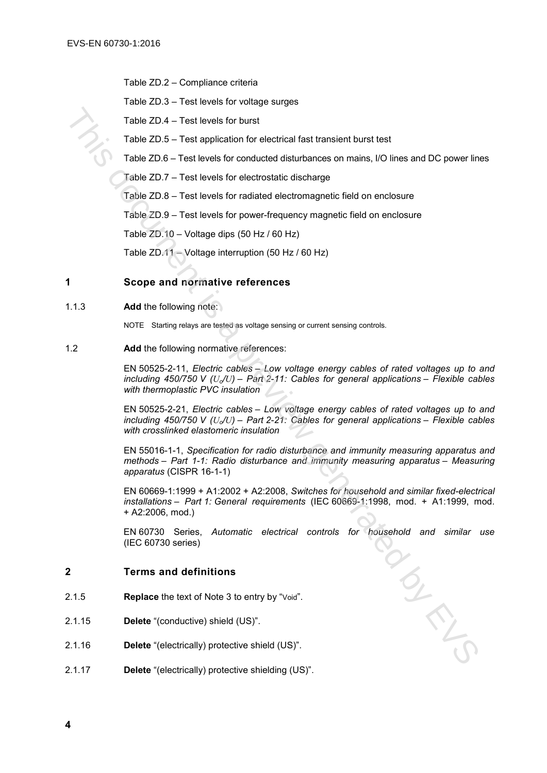Table ZD.2 – Compliance criteria

Table ZD.3 – Test levels for voltage surges

Table ZD.4 – Test levels for burst

Table ZD.5 – Test application for electrical fast transient burst test

Table ZD.6 – Test levels for conducted disturbances on mains, I/O lines and DC power lines

Table ZD.7 – Test levels for electrostatic discharge

Table ZD.8 – Test levels for radiated electromagnetic field on enclosure

Table ZD.9 – Test levels for power-frequency magnetic field on enclosure

Table ZD.10 – Voltage dips (50 Hz / 60 Hz)

Table ZD.11 – Voltage interruption (50 Hz / 60 Hz)

#### **1 Scope and normative references**

1.1.3 **Add** the following note:

NOTE Starting relays are tested as voltage sensing or current sensing controls.

1.2 **Add** the following normative references:

EN 50525-2-11, *Electric cables – Low voltage energy cables of rated voltages up to and including 450/750 V (Uo/U) – Part 2-11: Cables for general applications – Flexible cables with thermoplastic PVC insulation*

EN 50525-2-21, *Electric cables – Low voltage energy cables of rated voltages up to and including 450/750 V*  $(U_v/U)$  – Part 2-21: Cables for general applications – Flexible cables *with crosslinked elastomeric insulation*

EN 55016-1-1, *Specification for radio disturbance and immunity measuring apparatus and methods – Part 1-1: Radio disturbance and immunity measuring apparatus – Measuring apparatus* (CISPR 16-1-1) Table 2D.4 – Test levels for burst<br>
Table 2D.5 – Test application for electrical fast transient burst test<br>
Table 2D.5 – Test levels for conducted disturbances on mains, I/O lines and DC power lin<br>
Table 2D.5 – Test level

EN 60669-1:1999 + A1:2002 + A2:2008, *Switches for household and similar fixed-electrical installations – Part 1: General requirements* (IEC 60669-1:1998, mod. + A1:1999, mod. + A2:2006, mod.)

EN 60730 Series, *Automatic electrical controls for household and similar use* (IEC 60730 series)

#### **2 Terms and definitions**

- 2.1.5 **Replace** the text of Note 3 to entry by "Void".
- 2.1.15 **Delete** "(conductive) shield (US)".
- 2.1.16 **Delete** "(electrically) protective shield (US)".
- 2.1.17 **Delete** "(electrically) protective shielding (US)".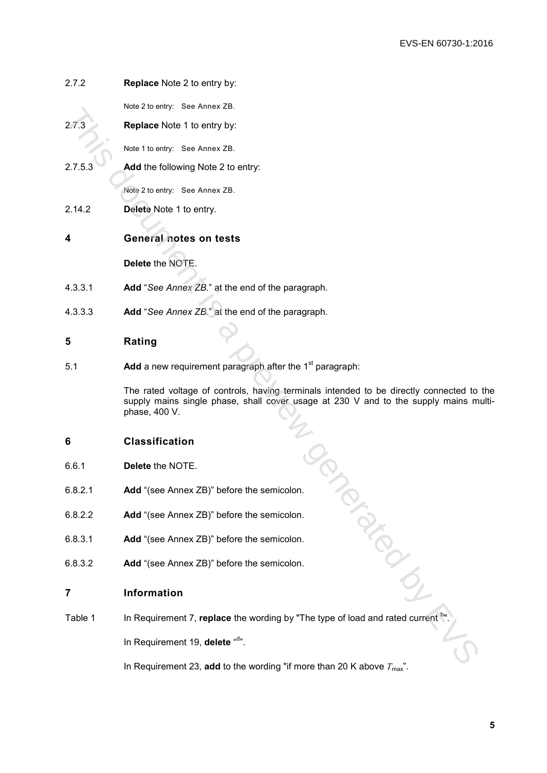| 2.7.2   | <b>Replace Note 2 to entry by:</b>                                                                                                                                                       |  |  |
|---------|------------------------------------------------------------------------------------------------------------------------------------------------------------------------------------------|--|--|
|         | Note 2 to entry: See Annex ZB.                                                                                                                                                           |  |  |
| 2.7.3   | Replace Note 1 to entry by:                                                                                                                                                              |  |  |
|         | Note 1 to entry: See Annex ZB.                                                                                                                                                           |  |  |
| 2.7.5.3 | Add the following Note 2 to entry:                                                                                                                                                       |  |  |
|         | Note 2 to entry: See Annex ZB.                                                                                                                                                           |  |  |
| 2.14.2  | Delete Note 1 to entry.                                                                                                                                                                  |  |  |
| 4       | General notes on tests                                                                                                                                                                   |  |  |
|         | Delete the NOTE.                                                                                                                                                                         |  |  |
| 4.3.3.1 | Add "See Annex ZB." at the end of the paragraph.                                                                                                                                         |  |  |
| 4.3.3.3 | Add "See Annex ZB." at the end of the paragraph.                                                                                                                                         |  |  |
| 5       | Rating                                                                                                                                                                                   |  |  |
| 5.1     | Add a new requirement paragraph after the 1 <sup>st</sup> paragraph:                                                                                                                     |  |  |
|         | The rated voltage of controls, having terminals intended to be directly connected to<br>supply mains single phase, shall cover usage at 230 V and to the supply mains m<br>phase, 400 V. |  |  |
| 6       | <b>Classification</b>                                                                                                                                                                    |  |  |
| 6.6.1   | Delete the NOTE.                                                                                                                                                                         |  |  |
| 6.8.2.1 | Add "(see Annex ZB)" before the semicolon.                                                                                                                                               |  |  |
| 6.8.2.2 | Add "(see Annex ZB)" before the semicolon.                                                                                                                                               |  |  |
| 6.8.3.1 | Add "(see Annex ZB)" before the semicolon.                                                                                                                                               |  |  |
| 6.8.3.2 | Add "(see Annex ZB)" before the semicolon.                                                                                                                                               |  |  |
| 7       | Information                                                                                                                                                                              |  |  |
| Table 1 | In Requirement 7, replace the wording by "The type of load and rated current                                                                                                             |  |  |
|         | In Requirement 19, delete "d".                                                                                                                                                           |  |  |
|         | In Pequirement 23, add to the wording "if more than 20 K above $T$                                                                                                                       |  |  |

# **4 General notes on tests**

- 4.3.3.1 **Add** "*See Annex ZB.*" at the end of the paragraph.
- 4.3.3.3 **Add** "*See Annex ZB.*" at the end of the paragraph.

# **5 Rating**

# **6 Classification**

- 6.6.1 **Delete** the NOTE.
- 6.8.2.1 **Add** "(see Annex ZB)" before the semicolon.
- 6.8.2.2 **Add** "(see Annex ZB)" before the semicolon.
- 6.8.3.1 **Add** "(see Annex ZB)" before the semicolon.
- 6.8.3.2 **Add** "(see Annex ZB)" before the semicolon.

# **7 Information**

In Requirement 23, add to the wording "if more than 20 K above  $T_{\text{max}}$ ".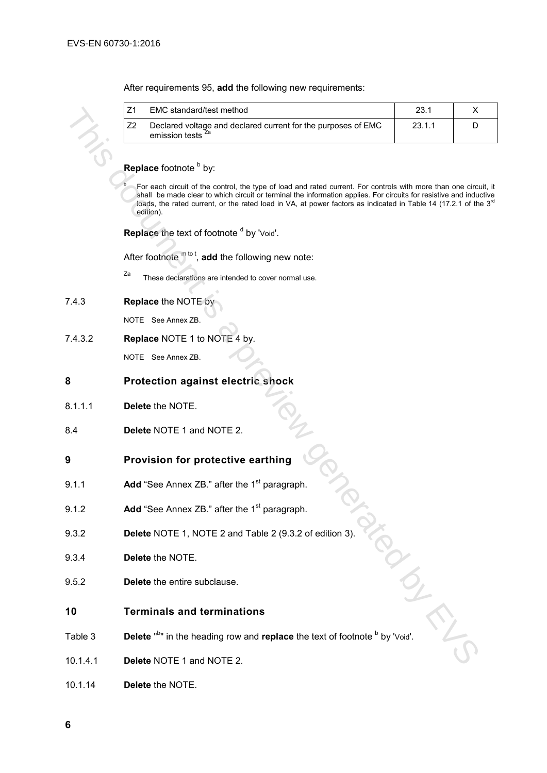After requirements 95, **add** the following new requirements:

|                              | Z1<br>EMC standard/test method                                                                                                                                                                                                                                                                                                                                                     | 23.1   | X |  |  |  |
|------------------------------|------------------------------------------------------------------------------------------------------------------------------------------------------------------------------------------------------------------------------------------------------------------------------------------------------------------------------------------------------------------------------------|--------|---|--|--|--|
|                              | Declared voltage and declared current for the purposes of EMC<br>Z <sub>2</sub><br>emission tests <sup>Za</sup>                                                                                                                                                                                                                                                                    | 23.1.1 | D |  |  |  |
|                              | Replace footnote by:                                                                                                                                                                                                                                                                                                                                                               |        |   |  |  |  |
|                              |                                                                                                                                                                                                                                                                                                                                                                                    |        |   |  |  |  |
|                              | For each circuit of the control, the type of load and rated current. For controls with more than one circuit, it<br>shall be made clear to which circuit or terminal the information applies. For circuits for resistive and inductive<br>loads, the rated current, or the rated load in VA, at power factors as indicated in Table 14 (17.2.1 of the 3 <sup>rd</sup><br>edition). |        |   |  |  |  |
|                              | Replace the text of footnote d by 'Void'.                                                                                                                                                                                                                                                                                                                                          |        |   |  |  |  |
|                              | After footnote $m^{tot}$ , add the following new note:                                                                                                                                                                                                                                                                                                                             |        |   |  |  |  |
|                              | Za<br>These declarations are intended to cover normal use.                                                                                                                                                                                                                                                                                                                         |        |   |  |  |  |
| Replace the NOTE by<br>7.4.3 |                                                                                                                                                                                                                                                                                                                                                                                    |        |   |  |  |  |
|                              | NOTE See Annex ZB.                                                                                                                                                                                                                                                                                                                                                                 |        |   |  |  |  |
| 7.4.3.2                      | Replace NOTE 1 to NOTE 4 by.                                                                                                                                                                                                                                                                                                                                                       |        |   |  |  |  |
|                              | NOTE See Annex ZB.                                                                                                                                                                                                                                                                                                                                                                 |        |   |  |  |  |
| 8                            | Protection against electric shock                                                                                                                                                                                                                                                                                                                                                  |        |   |  |  |  |
| 8.1.1.1                      | Delete the NOTE.                                                                                                                                                                                                                                                                                                                                                                   |        |   |  |  |  |
| 8.4                          | Delete NOTE 1 and NOTE 2.                                                                                                                                                                                                                                                                                                                                                          |        |   |  |  |  |
| 9                            | Provision for protective earthing                                                                                                                                                                                                                                                                                                                                                  |        |   |  |  |  |
| 9.1.1                        | Add "See Annex ZB." after the 1 <sup>st</sup> paragraph.                                                                                                                                                                                                                                                                                                                           |        |   |  |  |  |
| 9.1.2                        | Add "See Annex ZB." after the 1 <sup>st</sup> paragraph.                                                                                                                                                                                                                                                                                                                           |        |   |  |  |  |
| 9.3.2                        | Delete NOTE 1, NOTE 2 and Table 2 (9.3.2 of edition 3).                                                                                                                                                                                                                                                                                                                            |        |   |  |  |  |
| 9.3.4                        | Delete the NOTE.                                                                                                                                                                                                                                                                                                                                                                   |        |   |  |  |  |
| 9.5.2                        | Delete the entire subclause.                                                                                                                                                                                                                                                                                                                                                       |        |   |  |  |  |
| 10                           | <b>Terminals and terminations</b>                                                                                                                                                                                                                                                                                                                                                  |        |   |  |  |  |
| Table 3                      | Delete " <sup>b</sup> " in the heading row and replace the text of footnote <sup>b</sup> by 'Void'.                                                                                                                                                                                                                                                                                |        |   |  |  |  |
| 10.1.4.1                     | Delete NOTE 1 and NOTE 2.                                                                                                                                                                                                                                                                                                                                                          |        |   |  |  |  |

# **Replace** footnote **b** by:

#### 7.4.3 **Replace** the NOTE by

# **8 Protection against electric shock**

- 8.1.1.1 **Delete** the NOTE.
- 8.4 **Delete** NOTE 1 and NOTE 2.

# **9 Provision for protective earthing**

- 9.1.1 **Add** "See Annex ZB." after the 1<sup>st</sup> paragraph.
- 9.1.2 **Add** "See Annex ZB." after the 1<sup>st</sup> paragraph.
- 9.3.2 **Delete** NOTE 1, NOTE 2 and Table 2 (9.3.2 of edition 3).
- 9.3.4 **Delete** the NOTE.
- 9.5.2 **Delete** the entire subclause.

#### **10 Terminals and terminations**

- Table 3 **Delete** "<sup>b</sup>" in the heading row and **replace** the text of footnote <sup>b</sup> by 'Void'.
- 10.1.4.1 **Delete** NOTE 1 and NOTE 2.
- 10.1.14 **Delete** the NOTE.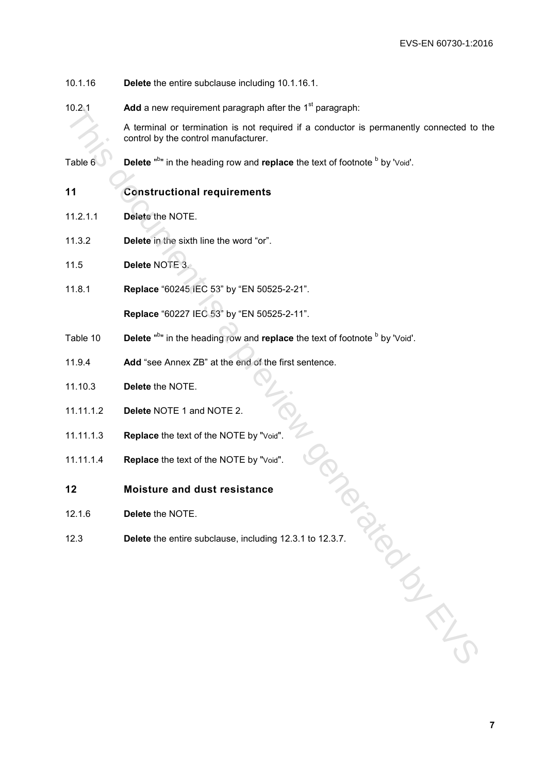- 10.1.16 **Delete** the entire subclause including 10.1.16.1.
- 10.2.1 **Add** a new requirement paragraph after the 1<sup>st</sup> paragraph:

A terminal or termination is not required if a conductor is permanently connected to the control by the control manufacturer. No.2.1<br>
A terminal or termination is not requirement is paragraphic.<br>
A terminal or termination is not requirement is<br>
control by the control manufacturer.<br>
Table 6 Dolete <sup>A</sup><sup>2</sup> in the neading row and replace the text of

- Table 6 Delete "<sup>b</sup>" in the heading row and **replace** the text of footnote <sup>b</sup> by 'Void'.
- **11 Constructional requirements**
- 11.2.1.1 **Delete** the NOTE.
- 11.3.2 **Delete** in the sixth line the word "or".
- 11.5 **Delete** NOTE 3.
- 11.8.1 **Replace** "60245 IEC 53" by "EN 50525-2-21".

**Replace** "60227 IEC 53" by "EN 50525-2-11".

- Table 10 **Delete** "<sup>b</sup>" in the heading row and **replace** the text of footnote <sup>b</sup> by 'Void'.
- 11.9.4 **Add** "see Annex ZB" at the end of the first sentence.
- 11.10.3 **Delete** the NOTE.
- 11.11.1.2 **Delete** NOTE 1 and NOTE 2.
- 11.11.1.3 **Replace** the text of the NOTE by "Void".
- 11.11.1.4 **Replace** the text of the NOTE by "Void".
- **12 Moisture and dust resistance**
- 12.1.6 **Delete** the NOTE.
- 12.3 **Delete** the entire subclause, including 12.3.1 to 12.3.7.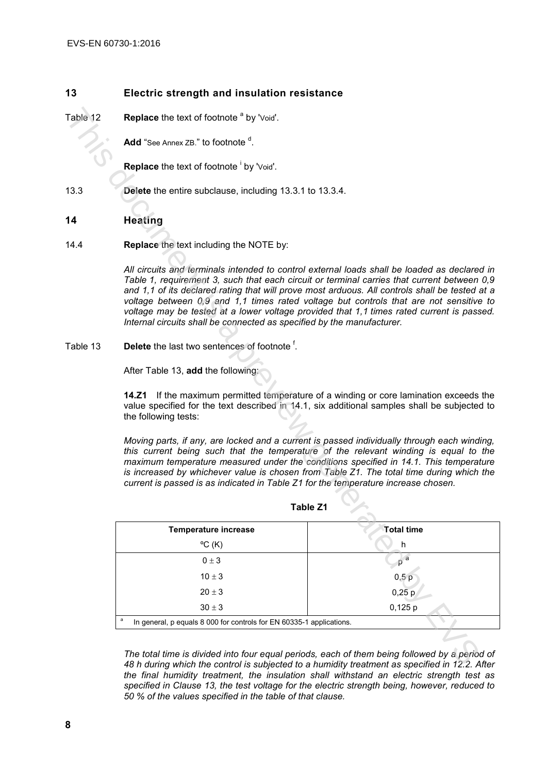# **13 Electric strength and insulation resistance**

# **14 Heating**

| Table 12 | <b>Replace</b> the text of footnote <sup>a</sup> by 'Void'.                                                                                                                                                                                                                                                                                                                                                                                                                                                                                                    |                   |  |  |
|----------|----------------------------------------------------------------------------------------------------------------------------------------------------------------------------------------------------------------------------------------------------------------------------------------------------------------------------------------------------------------------------------------------------------------------------------------------------------------------------------------------------------------------------------------------------------------|-------------------|--|--|
|          | Add "See Annex ZB." to footnote <sup>a</sup> .                                                                                                                                                                                                                                                                                                                                                                                                                                                                                                                 |                   |  |  |
|          | Replace the text of footnote by 'Void'.                                                                                                                                                                                                                                                                                                                                                                                                                                                                                                                        |                   |  |  |
| 13.3     | Delete the entire subclause, including 13.3.1 to 13.3.4.                                                                                                                                                                                                                                                                                                                                                                                                                                                                                                       |                   |  |  |
| 14       | <b>Heating</b>                                                                                                                                                                                                                                                                                                                                                                                                                                                                                                                                                 |                   |  |  |
| 14.4     |                                                                                                                                                                                                                                                                                                                                                                                                                                                                                                                                                                |                   |  |  |
|          | All circuits and terminals intended to control external loads shall be loaded as declared in<br>Table 1, requirement 3, such that each circuit or terminal carries that current between 0,9<br>and 1,1 of its declared rating that will prove most arduous. All controls shall be tested at a<br>voltage between 0,9 and 1,1 times rated voltage but controls that are not sensitive to<br>voltage may be tested at a lower voltage provided that 1,1 times rated current is passed.<br>Internal circuits shall be connected as specified by the manufacturer. |                   |  |  |
| Table 13 | <b>Delete</b> the last two sentences of footnote <sup>1</sup> .                                                                                                                                                                                                                                                                                                                                                                                                                                                                                                |                   |  |  |
|          | After Table 13, add the following:                                                                                                                                                                                                                                                                                                                                                                                                                                                                                                                             |                   |  |  |
|          | 14.Z1 If the maximum permitted temperature of a winding or core lamination exceeds the<br>value specified for the text described in 14.1, six additional samples shall be subjected to<br>the following tests:                                                                                                                                                                                                                                                                                                                                                 |                   |  |  |
|          | Moving parts, if any, are locked and a current is passed individually through each winding,<br>this current being such that the temperature of the relevant winding is equal to the<br>maximum temperature measured under the conditions specified in 14.1. This temperature<br>is increased by whichever value is chosen from Table Z1. The total time during which the<br>current is passed is as indicated in Table Z1 for the temperature increase chosen.                                                                                                 |                   |  |  |
|          | Table Z1                                                                                                                                                                                                                                                                                                                                                                                                                                                                                                                                                       |                   |  |  |
|          | <b>Temperature increase</b>                                                                                                                                                                                                                                                                                                                                                                                                                                                                                                                                    | <b>Total time</b> |  |  |
|          | $\rm{^{\circ}C}$ (K)                                                                                                                                                                                                                                                                                                                                                                                                                                                                                                                                           | h                 |  |  |
|          | $0 \pm 3$                                                                                                                                                                                                                                                                                                                                                                                                                                                                                                                                                      | $p^{\mathsf{a}}$  |  |  |
|          | $10 \pm 3$                                                                                                                                                                                                                                                                                                                                                                                                                                                                                                                                                     | 0,5p              |  |  |
|          | $20\pm3$                                                                                                                                                                                                                                                                                                                                                                                                                                                                                                                                                       | $0,25$ p          |  |  |
|          | $30\pm3$                                                                                                                                                                                                                                                                                                                                                                                                                                                                                                                                                       | $0,125$ p         |  |  |
|          | $\mathsf a$<br>In general, p equals 8 000 for controls for EN 60335-1 applications.                                                                                                                                                                                                                                                                                                                                                                                                                                                                            |                   |  |  |
|          |                                                                                                                                                                                                                                                                                                                                                                                                                                                                                                                                                                |                   |  |  |
|          | The total time is divided into four equal periods, each of them being followed by a period of<br>48 h during which the control is subjected to a humidity treatment as specified in 12.2. After                                                                                                                                                                                                                                                                                                                                                                |                   |  |  |

*The total time is divided into four equal periods, each of them being followed by a period of 48 h during which the control is subjected to a humidity treatment as specified in 12.2. After the final humidity treatment, the insulation shall withstand an electric strength test as specified in Clause 13, the test voltage for the electric strength being, however, reduced to 50 % of the values specified in the table of that clause.*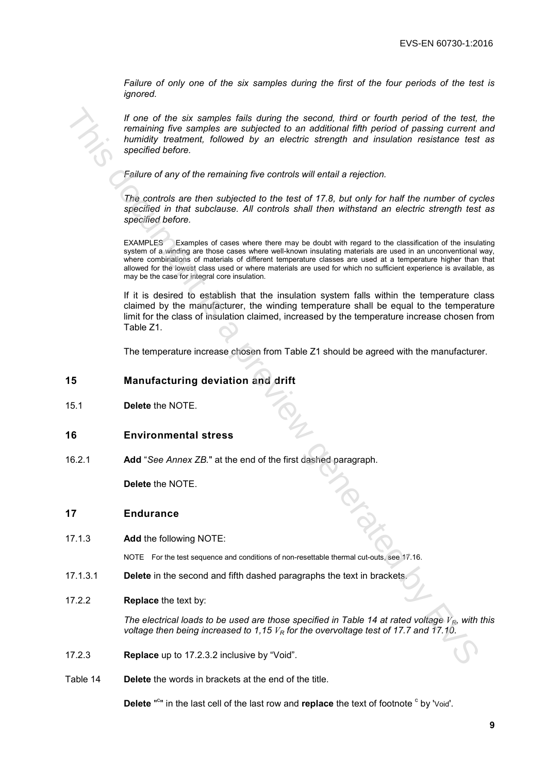*Failure of only one of the six samples during the first of the four periods of the test is ignored.*

*If one of the six samples fails during the second, third or fourth period of the test, the remaining five samples are subjected to an additional fifth period of passing current and humidity treatment, followed by an electric strength and insulation resistance test as specified before.*

*Failure of any of the remaining five controls will entail a rejection.*

*The controls are then subjected to the test of 17.8, but only for half the number of cycles specified in that subclause. All controls shall then withstand an electric strength test as specified before.*

EXAMPLES Examples of cases where there may be doubt with regard to the classification of the insulating system of a winding are those cases where well-known insulating materials are used in an unconventional way, where combinations of materials of different temperature classes are used at a temperature higher than that allowed for the lowest class used or where materials are used for which no sufficient experience is available, as may be the case for integral core insulation. The more of the six is a remotes fails during the saccod, third or fourth of the distribution (and of the feature more than the first during properties the sample of the sample of the six multiple properties the subjectio

If it is desired to establish that the insulation system falls within the temperature class claimed by the manufacturer, the winding temperature shall be equal to the temperature limit for the class of insulation claimed, increased by the temperature increase chosen from Table Z1.

The temperature increase chosen from Table Z1 should be agreed with the manufacturer.

#### **15 Manufacturing deviation and drift**

15.1 **Delete** the NOTE.

#### **16 Environmental stress**

16.2.1 **Add** "*See Annex ZB.*" at the end of the first dashed paragraph.

**Delete** the NOTE.

#### **17 Endurance**

17.1.3 **Add** the following NOTE:

NOTE For the test sequence and conditions of non-resettable thermal cut-outs, see 17.16.

- 17.1.3.1 **Delete** in the second and fifth dashed paragraphs the text in brackets.
- 17.2.2 **Replace** the text by:

*The electrical loads to be used are those specified in Table 14 at rated voltage VR, with this voltage then being increased to 1,15 V<sup>R</sup> for the overvoltage test of 17.7 and 17.10.* 

- 17.2.3 **Replace** up to 17.2.3.2 inclusive by "Void".
- Table 14 **Delete** the words in brackets at the end of the title.

Delete "<sup>c</sup>" in the last cell of the last row and replace the text of footnote <sup>c</sup> by 'Void'.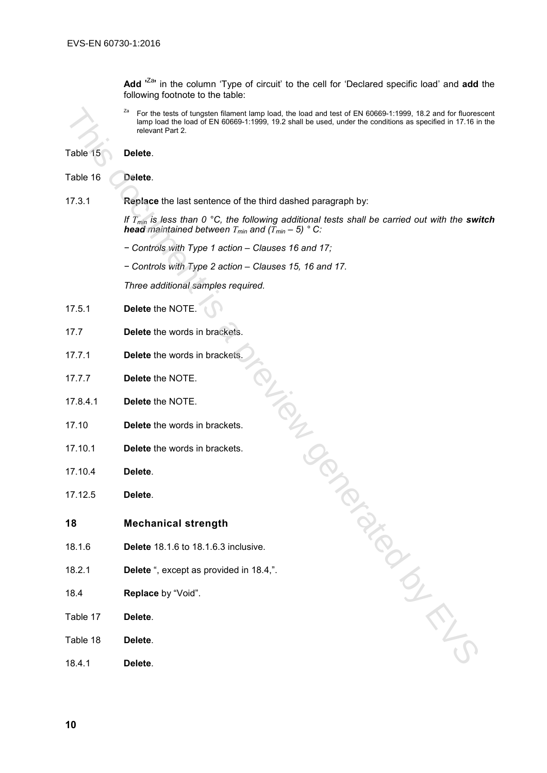Add <sup>'Za</sup>' in the column 'Type of circuit' to the cell for 'Declared specific load' and add the following footnote to the table:

<sup>Za</sup> For the tests of tungsten filament lamp load, the load and test of EN 60669-1:1999, 18.2 and for fluorescent lamp load the load of EN 60669-1:1999, 19.2 shall be used, under the conditions as specified in 17.16 in the relevant Part 2.

Table 15 **Delete**.

Table 16 **Delete**. 17.3.1 **Replace** the last sentence of the third dashed paragraph by: *If T<sub>min</sub>* is less than 0 °C, the following additional tests shall be carried out with the switch *head maintained between*  $T_{min}$  *and*  $(T_{min} - 5)$  ° C: *− Controls with Type 1 action – Clauses 16 and 17; − Controls with Type 2 action – Clauses 15, 16 and 17. Three additional samples required.* 17.5.1 **Delete** the NOTE. 17.7 **Delete** the words in brackets. 17.7.1 **Delete** the words in brackets. 17.7.7 **Delete** the NOTE. 17.8.4.1 **Delete** the NOTE. 17.10 **Delete** the words in brackets. 17.10.1 **Delete** the words in brackets. 17.10.4 **Delete**. 17.12.5 **Delete**. **18 Mechanical strength** 18.1.6 **Delete** 18.1.6 to 18.1.6.3 inclusive. 18.2.1 **Delete** ", except as provided in 18.4,". 18.4 **Replace** by "Void". Table 17 **Delete**. Table 18 **Delete**. 18.4.1 **Delete**. TOL TON BY BY A PROCLAMATION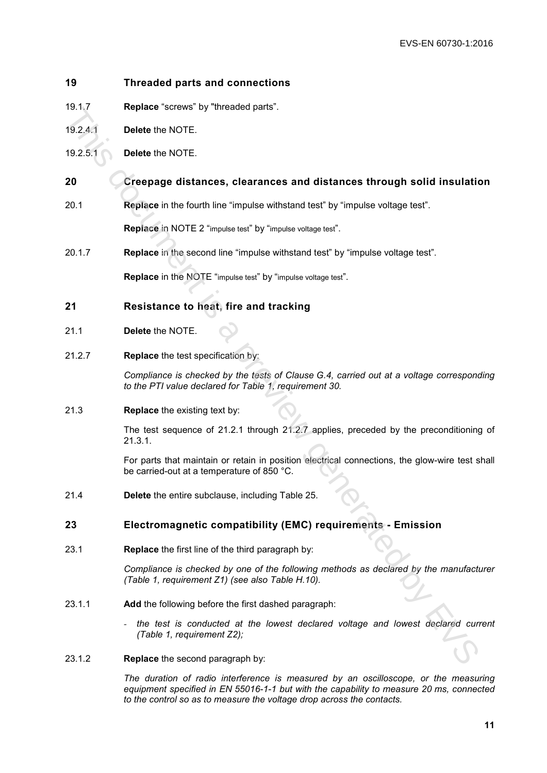## **19 Threaded parts and connections**

- 19.1.7 **Replace** "screws" by "threaded parts".
- 19.2.4.1 **Delete** the NOTE.
- 19.2.5.1 **Delete** the NOTE.

# **20 Creepage distances, clearances and distances through solid insulation**

20.1 **Replace** in the fourth line "impulse withstand test" by "impulse voltage test".

**Replace** in NOTE 2 "impulse test" by "impulse voltage test".

20.1.7 **Replace** in the second line "impulse withstand test" by "impulse voltage test".

**Replace** in the NOTE "impulse test" by "impulse voltage test".

# **21 Resistance to heat, fire and tracking**

- 21.1 **Delete** the NOTE.
- 21.2.7 **Replace** the test specification by:

*Compliance is checked by the tests of Clause G.4, carried out at a voltage corresponding to the PTI value declared for Table 1, requirement 30.*

21.3 **Replace** the existing text by:

The test sequence of 21.2.1 through 21.2.7 applies, preceded by the preconditioning of 21.3.1. This document is a present is a present of significant in the matter of significant and the matter of significant is a preview of the state of the state of the state of the state of the state of the state of the state of

For parts that maintain or retain in position electrical connections, the glow-wire test shall be carried-out at a temperature of 850 °C.

21.4 **Delete** the entire subclause, including Table 25.

### **23 Electromagnetic compatibility (EMC) requirements - Emission**

23.1 **Replace** the first line of the third paragraph by:

*Compliance is checked by one of the following methods as declared by the manufacturer (Table 1, requirement Z1) (see also Table H.10).*

- 23.1.1 **Add** the following before the first dashed paragraph:
	- *- the test is conducted at the lowest declared voltage and lowest declared current (Table 1, requirement Z2);*
- 23.1.2 **Replace** the second paragraph by:

*The duration of radio interference is measured by an oscilloscope, or the measuring equipment specified in EN 55016-1-1 but with the capability to measure 20 ms, connected to the control so as to measure the voltage drop across the contacts.*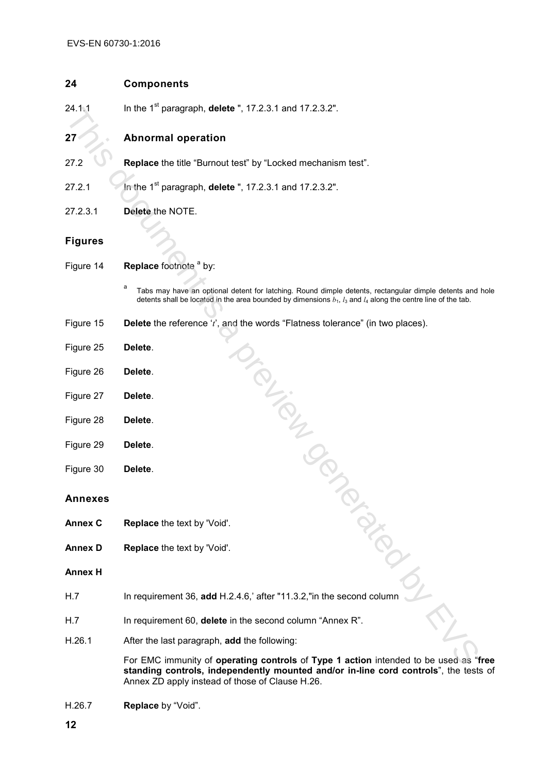## **24 Components**

24.1.1 In the 1<sup>st</sup> paragraph, **delete** ", 17.2.3.1 and 17.2.3.2".

# **27 Abnormal operation**

- 27.2 **Replace** the title "Burnout test" by "Locked mechanism test".
- 27.2.1 In the 1st paragraph, **delete** ", 17.2.3.1 and 17.2.3.2".
- 27.2.3.1 **Delete** the NOTE.

# **Figures**

- Figure 14 **Replace** footnote <sup>a</sup> by:
	- a Tabs may have an optional detent for latching. Round dimple detents, rectangular dimple detents and hole detents shall be located in the area bounded by dimensions  $b_1$ ,  $l_3$  and  $l_4$  along the centre line of the tab.
- Figure 15 **Delete** the reference '*t*', and the words "Flatness tolerance" (in two places). Triation and is a previous
- Figure 25 **Delete**.
- Figure 26 **Delete**.
- Figure 27 **Delete**.
- Figure 28 **Delete**.
- Figure 29 **Delete**.
- Figure 30 **Delete**.

#### **Annexes**

- **Annex C Replace** the text by 'Void'.
- **Annex D Replace** the text by 'Void'.

#### **Annex H**

- H.7 In requirement 36, **add** H.2.4.6,' after "11.3.2,"in the second column
- H.7 In requirement 60, **delete** in the second column "Annex R".
- H.26.1 After the last paragraph, **add** the following:

For EMC immunity of **operating controls** of **Type 1 action** intended to be used as "**free standing controls, independently mounted and/or in-line cord controls**", the tests of Annex ZD apply instead of those of Clause H.26.

H.26.7 **Replace** by "Void".